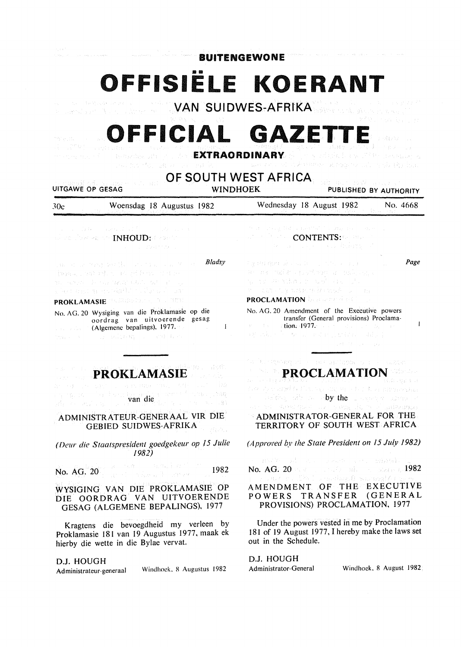| <b>BUITENGEWONE</b><br>OFFISIELE KOERANT<br>dia manakatan sebagai ke<br><b>MARIAN MARIAN SUIDWES-AFRIKA MARIAN AND ANN</b><br>经股票 化解流管 经<br>突め 投入 いっぱ<br>OFFICIAL GAZETTE<br>$\{ \gamma_{\alpha} \}_{\alpha \in \mathbb{N}}$ , where $\gamma_{\alpha}$<br>energy and the magazing and of the <b>EXTRAORDINARY</b> of the printed by Pilla present a<br>and the theoretic gives and any many of the summer and the summer of the summer of the second term of the form<br>OF SOUTH WEST AFRICA.<br>and and BM areas of<br>sources Ford, Sources<br><b>WINDHOEK</b><br>UITGAWE OP GESAG<br>PUBLISHED BY AUTHORITY |                                                                                                                                                                                                                                |                           |                          |
|-----------------------------------------------------------------------------------------------------------------------------------------------------------------------------------------------------------------------------------------------------------------------------------------------------------------------------------------------------------------------------------------------------------------------------------------------------------------------------------------------------------------------------------------------------------------------------------------------------------------|--------------------------------------------------------------------------------------------------------------------------------------------------------------------------------------------------------------------------------|---------------------------|--------------------------|
|                                                                                                                                                                                                                                                                                                                                                                                                                                                                                                                                                                                                                 |                                                                                                                                                                                                                                | Woensdag 18 Augustus 1982 | Wednesday 18 August 1982 |
|                                                                                                                                                                                                                                                                                                                                                                                                                                                                                                                                                                                                                 |                                                                                                                                                                                                                                | 30c                       | No. 4668                 |
| $\alpha$ , and $\beta$ for a single probability of $\beta$ , and $\beta$ , where $\alpha$                                                                                                                                                                                                                                                                                                                                                                                                                                                                                                                       | team and good accountability and means there a                                                                                                                                                                                 |                           |                          |
| some there as the INHOUD: Constitu                                                                                                                                                                                                                                                                                                                                                                                                                                                                                                                                                                              | <b>CONTENTS:</b> CONTENTS: CONTENTS:                                                                                                                                                                                           |                           |                          |
| The Committee State of                                                                                                                                                                                                                                                                                                                                                                                                                                                                                                                                                                                          | and the company of the second the body of the                                                                                                                                                                                  |                           |                          |
| Bladsy                                                                                                                                                                                                                                                                                                                                                                                                                                                                                                                                                                                                          | Page                                                                                                                                                                                                                           |                           |                          |
| participating dentity of the control                                                                                                                                                                                                                                                                                                                                                                                                                                                                                                                                                                            | Fig. that spectral concentrations and pro-                                                                                                                                                                                     |                           |                          |
| honor ration is addening the                                                                                                                                                                                                                                                                                                                                                                                                                                                                                                                                                                                    | an ais malar crunitable a caderally                                                                                                                                                                                            |                           |                          |
| an saaya Dessiyaayaa dalka kale ah qo                                                                                                                                                                                                                                                                                                                                                                                                                                                                                                                                                                           | and countries and was a strong to                                                                                                                                                                                              |                           |                          |
| g leva a shi ne komkin ishin shi ne hi san                                                                                                                                                                                                                                                                                                                                                                                                                                                                                                                                                                      | me dans tractaux un inscriptor commun                                                                                                                                                                                          |                           |                          |
| PROKLAMASIE PRESENTENT A LIBERT                                                                                                                                                                                                                                                                                                                                                                                                                                                                                                                                                                                 | <b>PROCLAMATION</b> Department of the pro-                                                                                                                                                                                     |                           |                          |
| No. AG. 20 Wysiging van die Proklamasie op die                                                                                                                                                                                                                                                                                                                                                                                                                                                                                                                                                                  | No. AG. 20 Amendment of the Executive powers                                                                                                                                                                                   |                           |                          |
| oordrag van uitvoerende gesag                                                                                                                                                                                                                                                                                                                                                                                                                                                                                                                                                                                   | transfer (General provisions) Proclama-                                                                                                                                                                                        |                           |                          |
| <b>Example 2018</b> (Algemene bepalings), 1977.                                                                                                                                                                                                                                                                                                                                                                                                                                                                                                                                                                 | and the soutions 1977s and the state and the same                                                                                                                                                                              |                           |                          |
| $\mathbf{I}$                                                                                                                                                                                                                                                                                                                                                                                                                                                                                                                                                                                                    | 这些话是一个一致。如果他们的时候,但是很少了                                                                                                                                                                                                         |                           |                          |
| where the complete property of the control of the state                                                                                                                                                                                                                                                                                                                                                                                                                                                                                                                                                         | 医腹膜炎 经公司收入 医致病                                                                                                                                                                                                                 |                           |                          |
|                                                                                                                                                                                                                                                                                                                                                                                                                                                                                                                                                                                                                 |                                                                                                                                                                                                                                |                           |                          |
| 网络亚指列 一                                                                                                                                                                                                                                                                                                                                                                                                                                                                                                                                                                                                         | for its stigening administration and there is a constant                                                                                                                                                                       |                           |                          |
| ※ まい (約) (4) →                                                                                                                                                                                                                                                                                                                                                                                                                                                                                                                                                                                                  | <b>SEP PROCLAMATION SERVICE</b>                                                                                                                                                                                                |                           |                          |
| <b>PROKLAMASIE</b>                                                                                                                                                                                                                                                                                                                                                                                                                                                                                                                                                                                              | (三轮角) 船紧连风                                                                                                                                                                                                                     |                           |                          |
| an eg concept o argumento centro con cida                                                                                                                                                                                                                                                                                                                                                                                                                                                                                                                                                                       | provide a considerable provided a construction of the construction of the construction of the construction of the construction of the construction of the construction of the construction of the construction of the construc |                           |                          |
| $\begin{minipage}[t]{0.9\textwidth}{ \begin{minipage}[t]{0.9\textwidth}{ \begin{minipage}[t]{0.9\textwidth}{ \begin{minipage}[t]{0.9\textwidth}{ \begin{minipage}[t]{0.9\textwidth}{ \begin{minipage}[t]{0.9\textwidth}{ \begin{minipage}[t]{0.9\textwidth}{ \begin{minipage}[t]{0.9\textwidth}{ \begin{minipage}[t]{0.9\textwidth}{ \begin{minipage}[t]{0.9\textwidth}{ \begin{minipage}[t]{0.9\textwidth}{ \begin{minipage}[t]{0.9\textwidth}{ \begin{minipage}[t]{0.9\textwidth}{ \begin{minipage}[t]{0.9$                                                                                                   | a nashrida dhe shek <b>byothe</b> shekarara bisance a                                                                                                                                                                          |                           |                          |
| Anderson and many                                                                                                                                                                                                                                                                                                                                                                                                                                                                                                                                                                                               | an se avec qua una sagguie se algaberros                                                                                                                                                                                       |                           |                          |
| ADMINISTRATEUR-GENERAAL VIR DIE                                                                                                                                                                                                                                                                                                                                                                                                                                                                                                                                                                                 | ADMINISTRATOR-GENERAL FOR THE                                                                                                                                                                                                  |                           |                          |
| <b>GEBIED SUIDWES-AFRIKA</b>                                                                                                                                                                                                                                                                                                                                                                                                                                                                                                                                                                                    | TERRITORY OF SOUTH WEST AFRICA.                                                                                                                                                                                                |                           |                          |
| (Deur die Staatspresident goedgekeur op 15 Julie<br>1982)                                                                                                                                                                                                                                                                                                                                                                                                                                                                                                                                                       | (Approved by the State President on 15 July 1982)                                                                                                                                                                              |                           |                          |
| No. $\overline{AG}$ , $20^{\circ}$ , and $\overline{MS}$ , and $\overline{MS}$ , and $\overline{MS}$<br>1982<br>and a same to avere                                                                                                                                                                                                                                                                                                                                                                                                                                                                             | a mente di con mante per missato la<br>No. AG. 20 and $\mathbb{R}^n$ , and $\mathbb{R}^n$ and $\mathbb{R}^n$ and $\mathbb{R}^n$ and $\mathbb{R}^n$                                                                             |                           |                          |
| WYSIGING VAN DIE PROKLAMASIE OP<br>DIE OORDRAG VAN UITVOERENDE<br>GESAG (ALGEMENE BEPALINGS), 1977                                                                                                                                                                                                                                                                                                                                                                                                                                                                                                              | the product of the Barrist of the control of the control of the control of the control of the control of the c<br>AMENDMENT OF THE EXECUTIVE<br>POWERS TRANSFER (GENERAL<br>PROVISIONS) PROCLAMATION, 1977                     |                           |                          |
| Kragtens die bevoegdheid my verleen by                                                                                                                                                                                                                                                                                                                                                                                                                                                                                                                                                                          | Under the powers vested in me by Proclamation                                                                                                                                                                                  |                           |                          |
| Proklamasie 181 van 19 Augustus 1977, maak ek                                                                                                                                                                                                                                                                                                                                                                                                                                                                                                                                                                   | 181 of 19 August 1977, I hereby make the laws set                                                                                                                                                                              |                           |                          |
| hierby die wette in die Bylae vervat.                                                                                                                                                                                                                                                                                                                                                                                                                                                                                                                                                                           | out in the Schedule.                                                                                                                                                                                                           |                           |                          |
| D.J. HOUGH                                                                                                                                                                                                                                                                                                                                                                                                                                                                                                                                                                                                      | D.J. HOUGH                                                                                                                                                                                                                     |                           |                          |
| Windhoek, 8 Augustus 1982                                                                                                                                                                                                                                                                                                                                                                                                                                                                                                                                                                                       | Windhoek, 8 August 1982                                                                                                                                                                                                        |                           |                          |
| Administrateur-generaal                                                                                                                                                                                                                                                                                                                                                                                                                                                                                                                                                                                         | Administrator-General                                                                                                                                                                                                          |                           |                          |